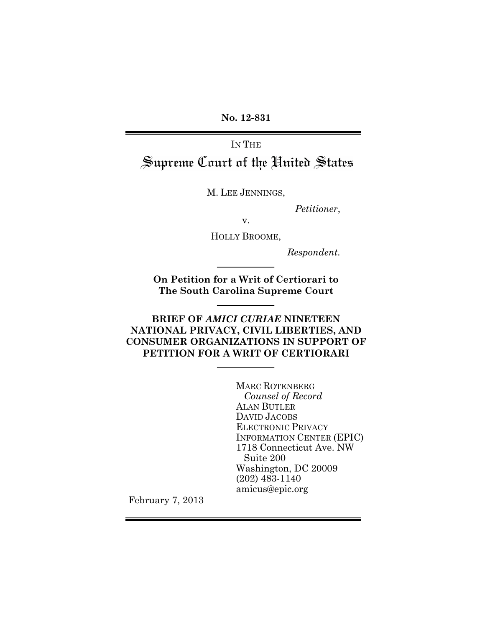**No. 12-831**

IN THE Supreme Court of the United States

M. LEE JENNINGS,

*Petitioner*,

v.

HOLLY BROOME,

*Respondent.*

**On Petition for a Writ of Certiorari to The South Carolina Supreme Court**

**BRIEF OF** *AMICI CURIAE* **NINETEEN NATIONAL PRIVACY, CIVIL LIBERTIES, AND CONSUMER ORGANIZATIONS IN SUPPORT OF PETITION FOR A WRIT OF CERTIORARI**

> MARC ROTENBERG *Counsel of Record* ALAN BUTLER DAVID JACOBS ELECTRONIC PRIVACY INFORMATION CENTER (EPIC) 1718 Connecticut Ave. NW Suite 200 Washington, DC 20009 (202) 483-1140 amicus@epic.org

February 7, 2013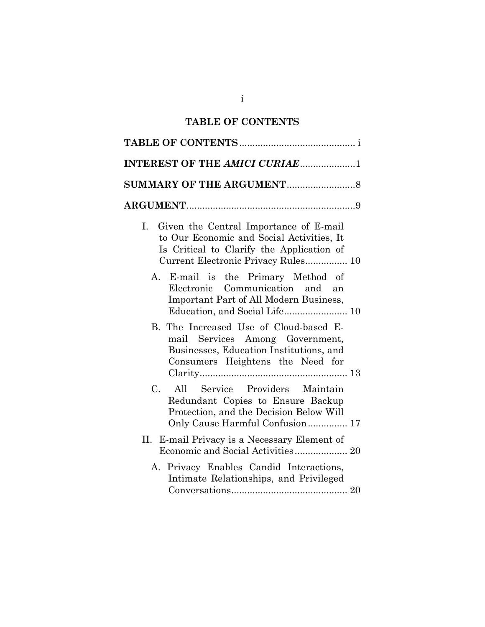## **TABLE OF CONTENTS**

| <b>INTEREST OF THE AMICI CURIAE1</b>                                                                                                                                          |  |  |  |  |
|-------------------------------------------------------------------------------------------------------------------------------------------------------------------------------|--|--|--|--|
|                                                                                                                                                                               |  |  |  |  |
|                                                                                                                                                                               |  |  |  |  |
| Given the Central Importance of E-mail<br>Ι.<br>to Our Economic and Social Activities, It<br>Is Critical to Clarify the Application of<br>Current Electronic Privacy Rules 10 |  |  |  |  |
| A. E-mail is the Primary Method of<br>Electronic Communication and<br>an<br>Important Part of All Modern Business,                                                            |  |  |  |  |
| B. The Increased Use of Cloud-based E-<br>mail Services Among Government,<br>Businesses, Education Institutions, and<br>Consumers Heightens the Need for                      |  |  |  |  |
| Service Providers Maintain<br>C.<br>All<br>Redundant Copies to Ensure Backup<br>Protection, and the Decision Below Will<br>Only Cause Harmful Confusion 17                    |  |  |  |  |
| E-mail Privacy is a Necessary Element of<br>П.<br>Economic and Social Activities 20                                                                                           |  |  |  |  |
| A. Privacy Enables Candid Interactions,<br>Intimate Relationships, and Privileged                                                                                             |  |  |  |  |

i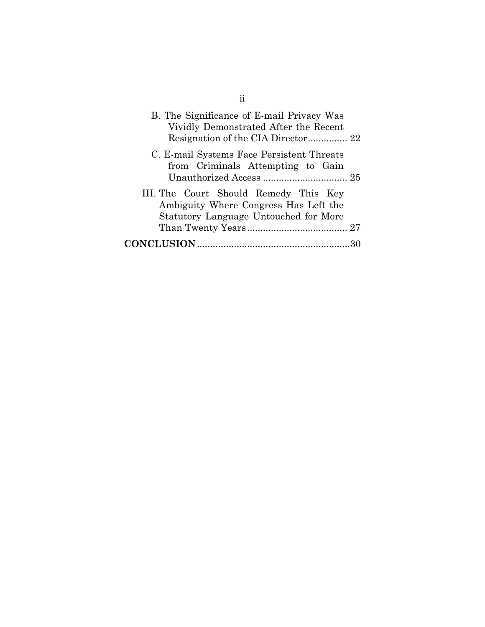| B. The Significance of E-mail Privacy Was<br>Vividly Demonstrated After the Recent                                      |
|-------------------------------------------------------------------------------------------------------------------------|
| C. E-mail Systems Face Persistent Threats<br>from Criminals Attempting to Gain                                          |
| III. The Court Should Remedy This Key<br>Ambiguity Where Congress Has Left the<br>Statutory Language Untouched for More |
|                                                                                                                         |

ii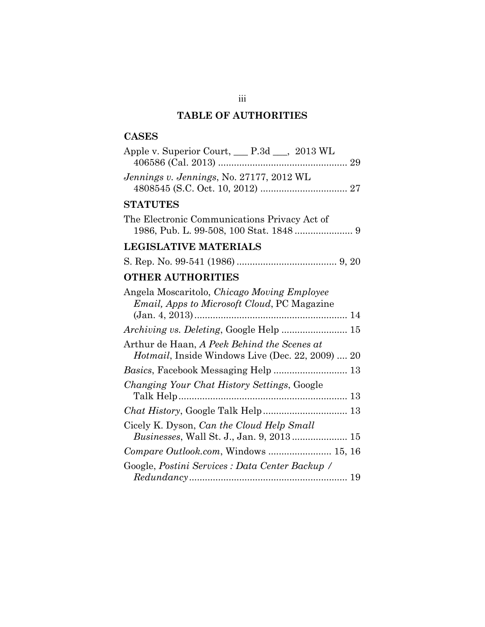# **TABLE OF AUTHORITIES**

## **CASES**

| Apple v. Superior Court, <u>P.3d __</u> , 2013 WL                                                       |
|---------------------------------------------------------------------------------------------------------|
| Jennings v. Jennings, No. 27177, 2012 WL                                                                |
| <b>STATUTES</b>                                                                                         |
| The Electronic Communications Privacy Act of                                                            |
| <b>LEGISLATIVE MATERIALS</b>                                                                            |
|                                                                                                         |
| <b>OTHER AUTHORITIES</b>                                                                                |
| Angela Moscaritolo, Chicago Moving Employee<br><i>Email, Apps to Microsoft Cloud, PC Magazine</i>       |
|                                                                                                         |
| Arthur de Haan, A Peek Behind the Scenes at<br><i>Hotmail</i> , Inside Windows Live (Dec. 22, 2009)  20 |
| Basics, Facebook Messaging Help  13                                                                     |
| Changing Your Chat History Settings, Google                                                             |
|                                                                                                         |
| Cicely K. Dyson, Can the Cloud Help Small<br>Businesses, Wall St. J., Jan. 9, 2013 15                   |
| Compare Outlook.com, Windows  15, 16                                                                    |
| Google, Postini Services : Data Center Backup /                                                         |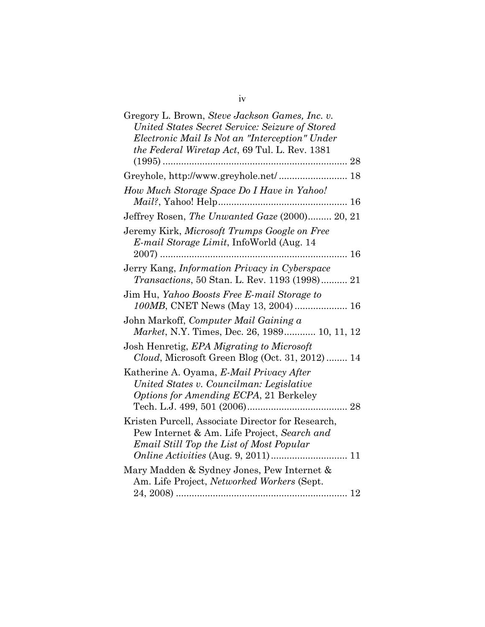| Gregory L. Brown, Steve Jackson Games, Inc. v.<br>United States Secret Service: Seizure of Stored<br>Electronic Mail Is Not an "Interception" Under<br>the Federal Wiretap Act, 69 Tul. L. Rev. 1381 |
|------------------------------------------------------------------------------------------------------------------------------------------------------------------------------------------------------|
|                                                                                                                                                                                                      |
| Greyhole, http://www.greyhole.net/ 18                                                                                                                                                                |
| How Much Storage Space Do I Have in Yahoo!                                                                                                                                                           |
| Jeffrey Rosen, The Unwanted Gaze (2000) 20, 21                                                                                                                                                       |
| Jeremy Kirk, Microsoft Trumps Google on Free<br><i>E-mail Storage Limit</i> , InfoWorld (Aug. 14)                                                                                                    |
|                                                                                                                                                                                                      |
| Jerry Kang, Information Privacy in Cyberspace<br><i>Transactions</i> , 50 Stan. L. Rev. 1193 (1998) 21                                                                                               |
| Jim Hu, Yahoo Boosts Free E-mail Storage to<br>100MB, CNET News (May 13, 2004)  16                                                                                                                   |
| John Markoff, Computer Mail Gaining a<br>Market, N.Y. Times, Dec. 26, 1989 10, 11, 12                                                                                                                |
| Josh Henretig, EPA Migrating to Microsoft<br>Cloud, Microsoft Green Blog (Oct. 31, 2012) 14                                                                                                          |
| Katherine A. Oyama, E-Mail Privacy After<br>United States v. Councilman: Legislative<br>Options for Amending ECPA, 21 Berkeley                                                                       |
| Kristen Purcell, Associate Director for Research,<br>Pew Internet & Am. Life Project, Search and<br>Email Still Top the List of Most Popular                                                         |
| Mary Madden & Sydney Jones, Pew Internet &<br>Am. Life Project, Networked Workers (Sept.                                                                                                             |
|                                                                                                                                                                                                      |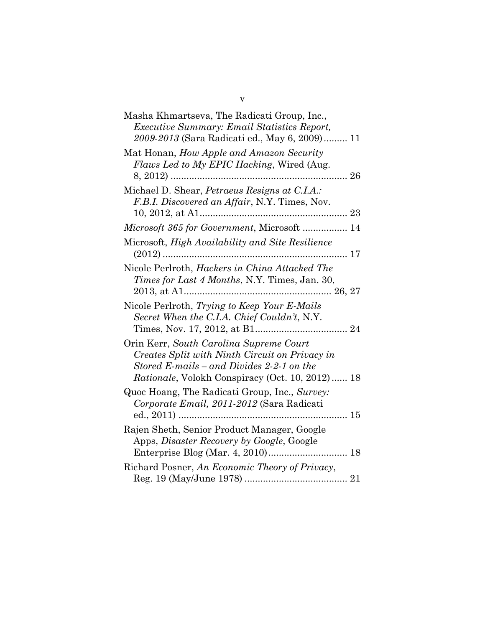| Masha Khmartseva, The Radicati Group, Inc.,<br><i>Executive Summary: Email Statistics Report,</i><br>2009-2013 (Sara Radicati ed., May 6, 2009) 11                                                |
|---------------------------------------------------------------------------------------------------------------------------------------------------------------------------------------------------|
| Mat Honan, How Apple and Amazon Security<br>Flaws Led to My EPIC Hacking, Wired (Aug.<br>26                                                                                                       |
| Michael D. Shear, Petraeus Resigns at C.I.A.:<br>F.B.I. Discovered an Affair, N.Y. Times, Nov.<br>23<br>10, 2012, at A1                                                                           |
| Microsoft 365 for Government, Microsoft  14                                                                                                                                                       |
| Microsoft, <i>High Availability and Site Resilience</i><br>17                                                                                                                                     |
| Nicole Perlroth, Hackers in China Attacked The<br>Times for Last 4 Months, N.Y. Times, Jan. 30,                                                                                                   |
| Nicole Perlroth, Trying to Keep Your E-Mails<br>Secret When the C.I.A. Chief Couldn't, N.Y.                                                                                                       |
| Orin Kerr, South Carolina Supreme Court<br>Creates Split with Ninth Circuit on Privacy in<br>Stored E-mails – and Divides 2-2-1 on the<br><i>Rationale</i> , Volokh Conspiracy (Oct. 10, 2012) 18 |
| Quoc Hoang, The Radicati Group, Inc., Survey:<br>Corporate Email, 2011-2012 (Sara Radicati<br>15                                                                                                  |
| Rajen Sheth, Senior Product Manager, Google<br>Apps, Disaster Recovery by Google, Google<br>18                                                                                                    |
| Richard Posner, An Economic Theory of Privacy,                                                                                                                                                    |

v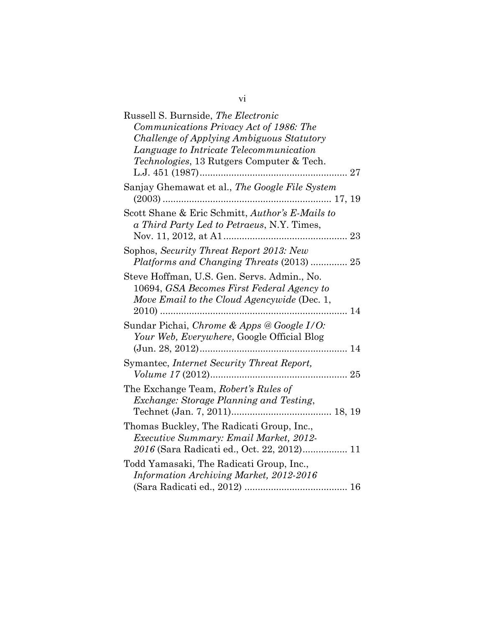| Russell S. Burnside, The Electronic                                                                                                      |
|------------------------------------------------------------------------------------------------------------------------------------------|
| Communications Privacy Act of 1986: The                                                                                                  |
| Challenge of Applying Ambiguous Statutory                                                                                                |
| Language to Intricate Telecommunication                                                                                                  |
| Technologies, 13 Rutgers Computer & Tech.                                                                                                |
|                                                                                                                                          |
| Sanjay Ghemawat et al., The Google File System                                                                                           |
| Scott Shane & Eric Schmitt, Author's E-Mails to<br>a Third Party Led to Petraeus, N.Y. Times,<br>23                                      |
| Sophos, Security Threat Report 2013: New<br>Platforms and Changing Threats (2013)  25                                                    |
| Steve Hoffman, U.S. Gen. Servs. Admin., No.<br>10694, GSA Becomes First Federal Agency to<br>Move Email to the Cloud Agencywide (Dec. 1, |
| Sundar Pichai, Chrome & Apps @ Google I/O:<br>Your Web, Everywhere, Google Official Blog<br>$(Jun. 28, 2012)$<br>14                      |
| Symantec, Internet Security Threat Report,<br>25                                                                                         |
| The Exchange Team, Robert's Rules of<br>Exchange: Storage Planning and Testing,                                                          |
| Thomas Buckley, The Radicati Group, Inc.,<br><i>Executive Summary: Email Market, 2012-</i><br>2016 (Sara Radicati ed., Oct. 22, 2012) 11 |
| Todd Yamasaki, The Radicati Group, Inc.,<br>Information Archiving Market, 2012-2016                                                      |

| ۰<br>V1 |  |
|---------|--|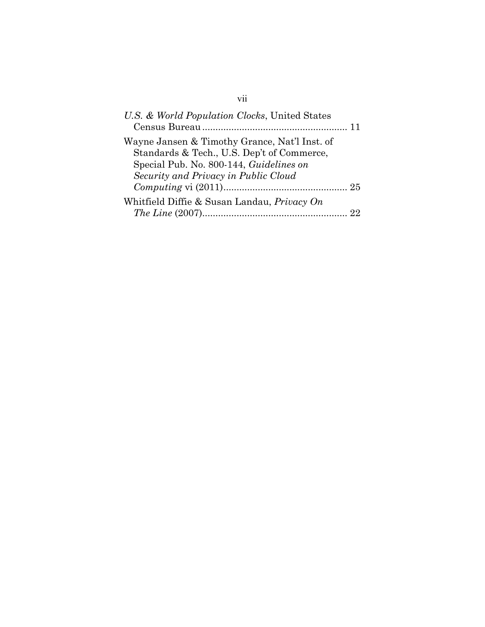# vii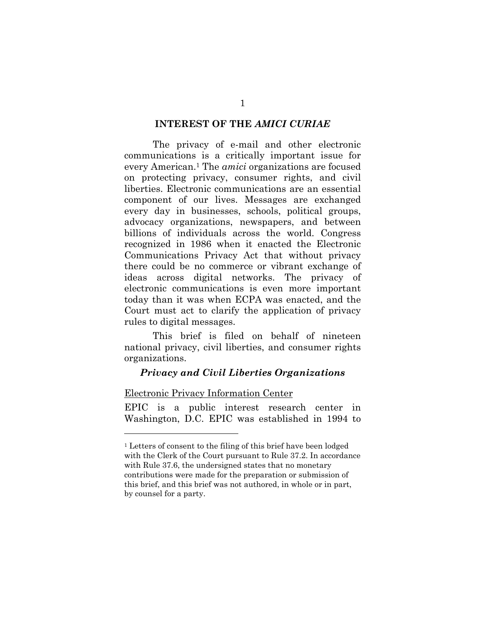#### **INTEREST OF THE** *AMICI CURIAE*

The privacy of e-mail and other electronic communications is a critically important issue for every American.1 The *amici* organizations are focused on protecting privacy, consumer rights, and civil liberties. Electronic communications are an essential component of our lives. Messages are exchanged every day in businesses, schools, political groups, advocacy organizations, newspapers, and between billions of individuals across the world. Congress recognized in 1986 when it enacted the Electronic Communications Privacy Act that without privacy there could be no commerce or vibrant exchange of ideas across digital networks. The privacy of electronic communications is even more important today than it was when ECPA was enacted, and the Court must act to clarify the application of privacy rules to digital messages.

This brief is filed on behalf of nineteen national privacy, civil liberties, and consumer rights organizations.

#### *Privacy and Civil Liberties Organizations*

#### Electronic Privacy Information Center

1

EPIC is a public interest research center in Washington, D.C. EPIC was established in 1994 to

<sup>1</sup> Letters of consent to the filing of this brief have been lodged with the Clerk of the Court pursuant to Rule 37.2. In accordance with Rule 37.6, the undersigned states that no monetary contributions were made for the preparation or submission of this brief, and this brief was not authored, in whole or in part, by counsel for a party.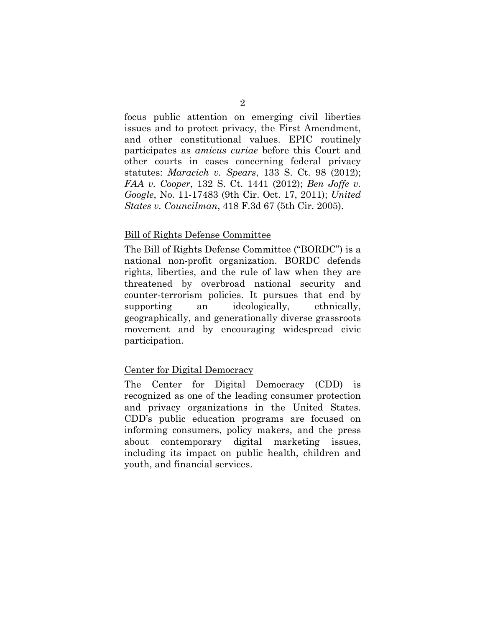focus public attention on emerging civil liberties issues and to protect privacy, the First Amendment, and other constitutional values. EPIC routinely participates as *amicus curiae* before this Court and other courts in cases concerning federal privacy statutes: *Maracich v. Spears*, 133 S. Ct. 98 (2012); *FAA v. Cooper*, 132 S. Ct. 1441 (2012); *Ben Joffe v. Google*, No. 11-17483 (9th Cir. Oct. 17, 2011); *United States v. Councilman*, 418 F.3d 67 (5th Cir. 2005).

#### Bill of Rights Defense Committee

The Bill of Rights Defense Committee ("BORDC") is a national non-profit organization. BORDC defends rights, liberties, and the rule of law when they are threatened by overbroad national security and counter-terrorism policies. It pursues that end by supporting an ideologically, ethnically, geographically, and generationally diverse grassroots movement and by encouraging widespread civic participation.

#### Center for Digital Democracy

The Center for Digital Democracy (CDD) is recognized as one of the leading consumer protection and privacy organizations in the United States. CDD's public education programs are focused on informing consumers, policy makers, and the press about contemporary digital marketing issues, including its impact on public health, children and youth, and financial services.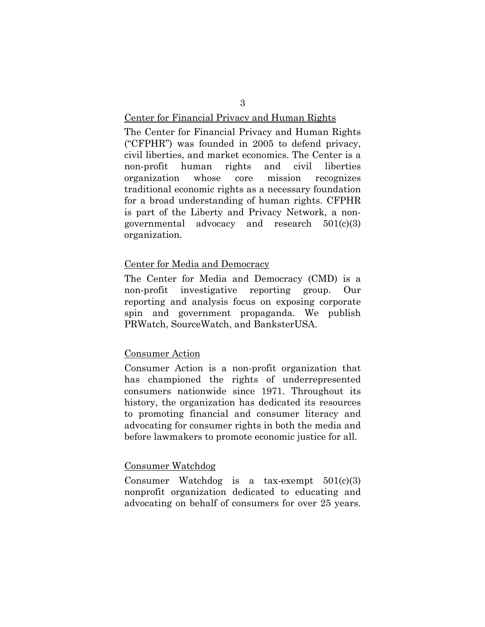#### Center for Financial Privacy and Human Rights

The Center for Financial Privacy and Human Rights ("CFPHR") was founded in 2005 to defend privacy, civil liberties, and market economics. The Center is a non-profit human rights and civil liberties organization whose core mission recognizes traditional economic rights as a necessary foundation for a broad understanding of human rights. CFPHR is part of the Liberty and Privacy Network, a nongovernmental advocacy and research 501(c)(3) organization.

#### Center for Media and Democracy

The Center for Media and Democracy (CMD) is a non-profit investigative reporting group. Our reporting and analysis focus on exposing corporate spin and government propaganda. We publish PRWatch, SourceWatch, and BanksterUSA.

#### Consumer Action

Consumer Action is a non-profit organization that has championed the rights of underrepresented consumers nationwide since 1971. Throughout its history, the organization has dedicated its resources to promoting financial and consumer literacy and advocating for consumer rights in both the media and before lawmakers to promote economic justice for all.

#### Consumer Watchdog

Consumer Watchdog is a tax-exempt 501(c)(3) nonprofit organization dedicated to educating and advocating on behalf of consumers for over 25 years.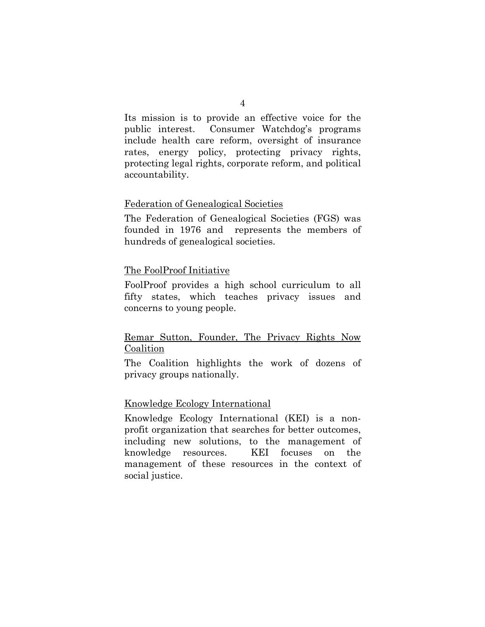Its mission is to provide an effective voice for the public interest. Consumer Watchdog's programs include health care reform, oversight of insurance rates, energy policy, protecting privacy rights, protecting legal rights, corporate reform, and political accountability.

## Federation of Genealogical Societies

The Federation of Genealogical Societies (FGS) was founded in 1976 and represents the members of hundreds of genealogical societies.

## The FoolProof Initiative

FoolProof provides a high school curriculum to all fifty states, which teaches privacy issues and concerns to young people.

## Remar Sutton, Founder, The Privacy Rights Now Coalition

The Coalition highlights the work of dozens of privacy groups nationally.

#### Knowledge Ecology International

Knowledge Ecology International (KEI) is a nonprofit organization that searches for better outcomes, including new solutions, to the management of knowledge resources. KEI focuses on the management of these resources in the context of social justice.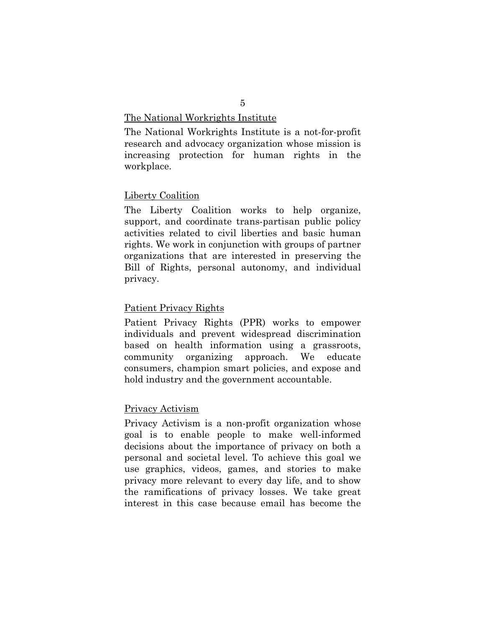#### The National Workrights Institute

The National Workrights Institute is a not-for-profit research and advocacy organization whose mission is increasing protection for human rights in the workplace.

#### Liberty Coalition

The Liberty Coalition works to help organize, support, and coordinate trans-partisan public policy activities related to civil liberties and basic human rights. We work in conjunction with groups of partner organizations that are interested in preserving the Bill of Rights, personal autonomy, and individual privacy.

#### Patient Privacy Rights

Patient Privacy Rights (PPR) works to empower individuals and prevent widespread discrimination based on health information using a grassroots, community organizing approach. We educate consumers, champion smart policies, and expose and hold industry and the government accountable.

#### Privacy Activism

Privacy Activism is a non-profit organization whose goal is to enable people to make well-informed decisions about the importance of privacy on both a personal and societal level. To achieve this goal we use graphics, videos, games, and stories to make privacy more relevant to every day life, and to show the ramifications of privacy losses. We take great interest in this case because email has become the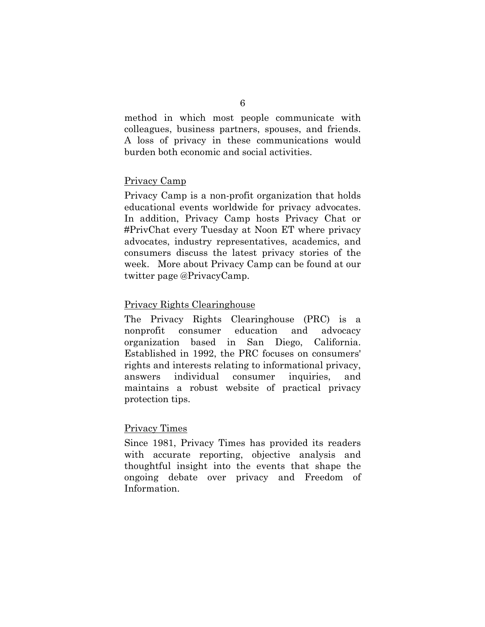method in which most people communicate with colleagues, business partners, spouses, and friends. A loss of privacy in these communications would burden both economic and social activities.

## Privacy Camp

Privacy Camp is a non-profit organization that holds educational events worldwide for privacy advocates. In addition, Privacy Camp hosts Privacy Chat or #PrivChat every Tuesday at Noon ET where privacy advocates, industry representatives, academics, and consumers discuss the latest privacy stories of the week. More about Privacy Camp can be found at our twitter page @PrivacyCamp.

## Privacy Rights Clearinghouse

The Privacy Rights Clearinghouse (PRC) is a nonprofit consumer education and advocacy organization based in San Diego, California. Established in 1992, the PRC focuses on consumers' rights and interests relating to informational privacy, answers individual consumer inquiries, and maintains a robust website of practical privacy protection tips.

## Privacy Times

Since 1981, Privacy Times has provided its readers with accurate reporting, objective analysis and thoughtful insight into the events that shape the ongoing debate over privacy and Freedom of Information.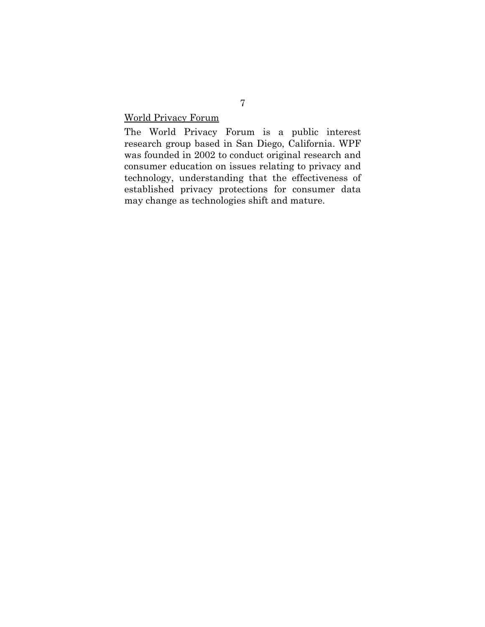World Privacy Forum

The World Privacy Forum is a public interest research group based in San Diego, California. WPF was founded in 2002 to conduct original research and consumer education on issues relating to privacy and technology, understanding that the effectiveness of established privacy protections for consumer data may change as technologies shift and mature.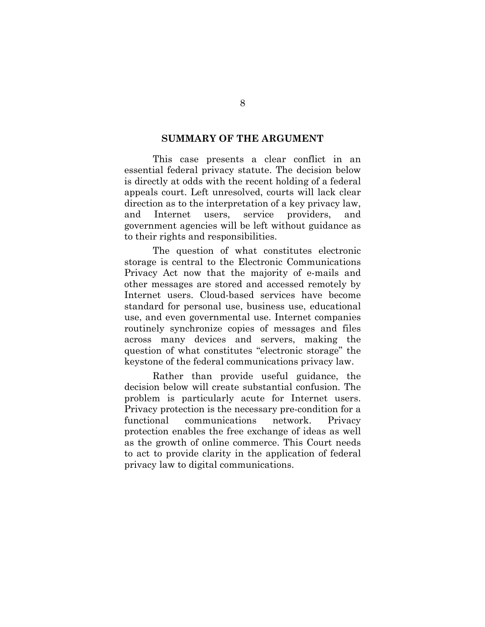#### **SUMMARY OF THE ARGUMENT**

This case presents a clear conflict in an essential federal privacy statute. The decision below is directly at odds with the recent holding of a federal appeals court. Left unresolved, courts will lack clear direction as to the interpretation of a key privacy law, and Internet users, service providers, and government agencies will be left without guidance as to their rights and responsibilities.

The question of what constitutes electronic storage is central to the Electronic Communications Privacy Act now that the majority of e-mails and other messages are stored and accessed remotely by Internet users. Cloud-based services have become standard for personal use, business use, educational use, and even governmental use. Internet companies routinely synchronize copies of messages and files across many devices and servers, making the question of what constitutes "electronic storage" the keystone of the federal communications privacy law.

Rather than provide useful guidance, the decision below will create substantial confusion. The problem is particularly acute for Internet users. Privacy protection is the necessary pre-condition for a functional communications network. Privacy protection enables the free exchange of ideas as well as the growth of online commerce. This Court needs to act to provide clarity in the application of federal privacy law to digital communications.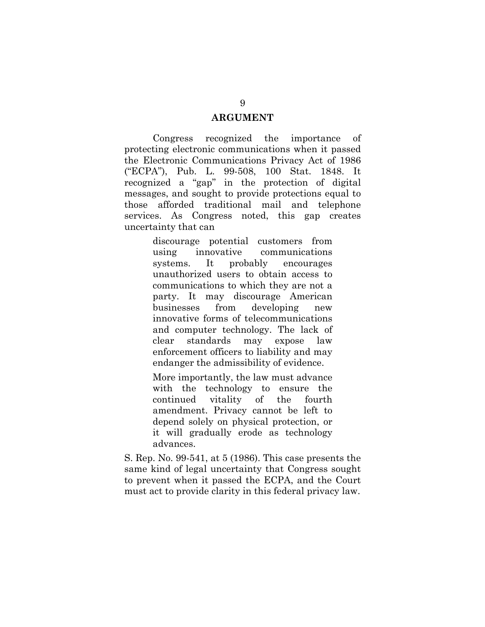#### **ARGUMENT**

Congress recognized the importance of protecting electronic communications when it passed the Electronic Communications Privacy Act of 1986 ("ECPA"), Pub. L. 99-508, 100 Stat. 1848. It recognized a "gap" in the protection of digital messages, and sought to provide protections equal to those afforded traditional mail and telephone services. As Congress noted, this gap creates uncertainty that can

> discourage potential customers from using innovative communications systems. It probably encourages unauthorized users to obtain access to communications to which they are not a party. It may discourage American businesses from developing new innovative forms of telecommunications and computer technology. The lack of clear standards may expose law enforcement officers to liability and may endanger the admissibility of evidence.

> More importantly, the law must advance with the technology to ensure the continued vitality of the fourth amendment. Privacy cannot be left to depend solely on physical protection, or it will gradually erode as technology advances.

S. Rep. No. 99-541, at 5 (1986). This case presents the same kind of legal uncertainty that Congress sought to prevent when it passed the ECPA, and the Court must act to provide clarity in this federal privacy law.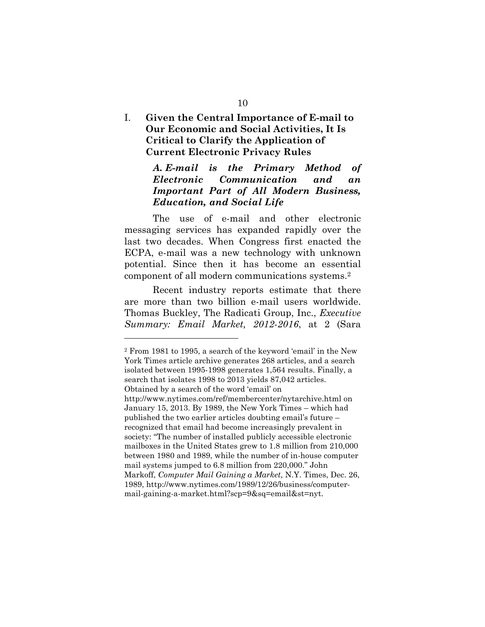## I. **Given the Central Importance of E-mail to Our Economic and Social Activities, It Is Critical to Clarify the Application of Current Electronic Privacy Rules**

## *A. E-mail is the Primary Method of Electronic Communication and an Important Part of All Modern Business, Education, and Social Life*

The use of e-mail and other electronic messaging services has expanded rapidly over the last two decades. When Congress first enacted the ECPA, e-mail was a new technology with unknown potential. Since then it has become an essential component of all modern communications systems.2

Recent industry reports estimate that there are more than two billion e-mail users worldwide. Thomas Buckley, The Radicati Group, Inc., *Executive Summary: Email Market, 2012-2016*, at 2 (Sara

<sup>2</sup> From 1981 to 1995, a search of the keyword 'email' in the New York Times article archive generates 268 articles, and a search isolated between 1995-1998 generates 1,564 results. Finally, a search that isolates 1998 to 2013 yields 87,042 articles. Obtained by a search of the word 'email' on http://www.nytimes.com/ref/membercenter/nytarchive.html on January 15, 2013. By 1989, the New York Times – which had published the two earlier articles doubting email's future – recognized that email had become increasingly prevalent in society: "The number of installed publicly accessible electronic mailboxes in the United States grew to 1.8 million from 210,000 between 1980 and 1989, while the number of in-house computer mail systems jumped to 6.8 million from 220,000." John Markoff, *Computer Mail Gaining a Market*, N.Y. Times, Dec. 26, 1989, http://www.nytimes.com/1989/12/26/business/computermail-gaining-a-market.html?scp=9&sq=email&st=nyt.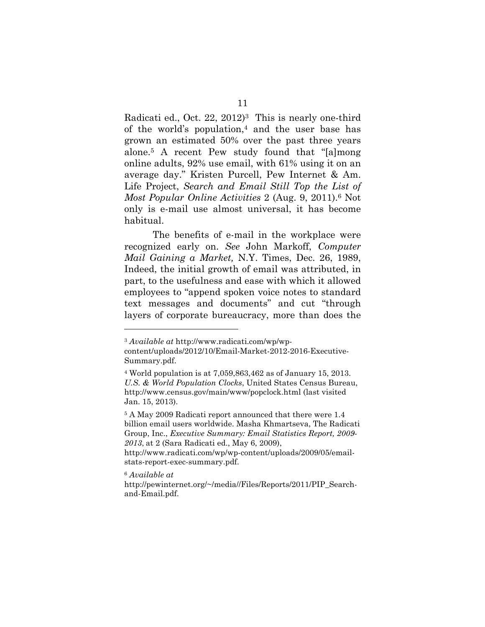Radicati ed., Oct. 22, 2012)<sup>3</sup> This is nearly one-third of the world's population,4 and the user base has grown an estimated 50% over the past three years alone.5 A recent Pew study found that "[a]mong online adults, 92% use email, with 61% using it on an average day." Kristen Purcell, Pew Internet & Am. Life Project, *Search and Email Still Top the List of Most Popular Online Activities* 2 (Aug. 9, 2011).6 Not only is e-mail use almost universal, it has become habitual.

The benefits of e-mail in the workplace were recognized early on. *See* John Markoff, *Computer Mail Gaining a Market,* N.Y. Times, Dec. 26, 1989, Indeed, the initial growth of email was attributed, in part, to the usefulness and ease with which it allowed employees to "append spoken voice notes to standard text messages and documents" and cut "through layers of corporate bureaucracy, more than does the

<sup>6</sup> *Available at* 

<sup>3</sup> *Available at* http://www.radicati.com/wp/wp-

content/uploads/2012/10/Email-Market-2012-2016-Executive-Summary.pdf.

<sup>4</sup> World population is at 7,059,863,462 as of January 15, 2013. *U.S. & World Population Clocks*, United States Census Bureau, http://www.census.gov/main/www/popclock.html (last visited Jan. 15, 2013).

<sup>5</sup> A May 2009 Radicati report announced that there were 1.4 billion email users worldwide. Masha Khmartseva, The Radicati Group, Inc., *Executive Summary: Email Statistics Report, 2009- 2013*, at 2 (Sara Radicati ed., May 6, 2009),

http://www.radicati.com/wp/wp-content/uploads/2009/05/emailstats-report-exec-summary.pdf.

http://pewinternet.org/~/media//Files/Reports/2011/PIP\_Searchand-Email.pdf.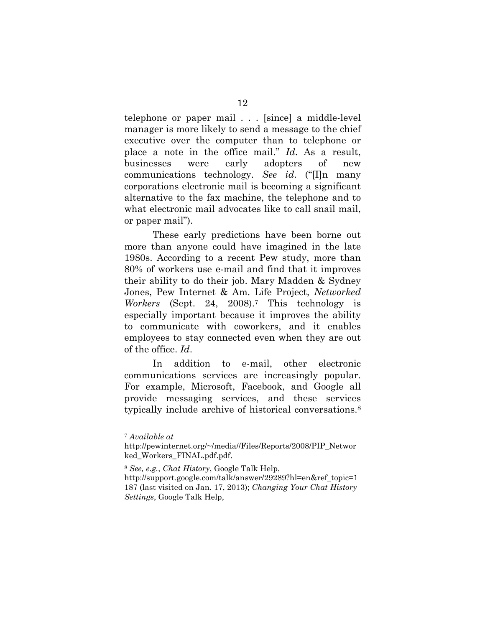telephone or paper mail . . . [since] a middle-level manager is more likely to send a message to the chief executive over the computer than to telephone or place a note in the office mail." *Id*. As a result, businesses were early adopters of new communications technology. *See id*. ("[I]n many corporations electronic mail is becoming a significant alternative to the fax machine, the telephone and to what electronic mail advocates like to call snail mail, or paper mail").

These early predictions have been borne out more than anyone could have imagined in the late 1980s. According to a recent Pew study, more than 80% of workers use e-mail and find that it improves their ability to do their job. Mary Madden & Sydney Jones, Pew Internet & Am. Life Project, *Networked Workers* (Sept. 24, 2008).7 This technology is especially important because it improves the ability to communicate with coworkers, and it enables employees to stay connected even when they are out of the office. *Id*.

In addition to e-mail, other electronic communications services are increasingly popular. For example, Microsoft, Facebook, and Google all provide messaging services, and these services typically include archive of historical conversations.8

<sup>7</sup> *Available at* 

http://pewinternet.org/~/media//Files/Reports/2008/PIP\_Networ ked\_Workers\_FINAL.pdf.pdf.

<sup>8</sup> *See, e.g.*, *Chat History*, Google Talk Help,

http://support.google.com/talk/answer/29289?hl=en&ref\_topic=1 187 (last visited on Jan. 17, 2013); *Changing Your Chat History Settings*, Google Talk Help,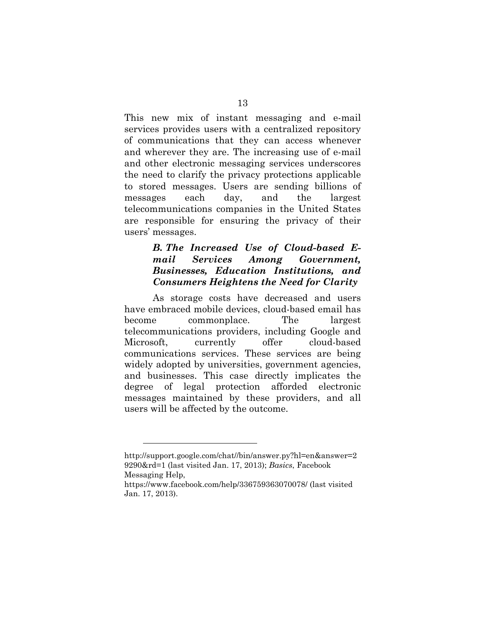This new mix of instant messaging and e-mail services provides users with a centralized repository of communications that they can access whenever and wherever they are. The increasing use of e-mail and other electronic messaging services underscores the need to clarify the privacy protections applicable to stored messages. Users are sending billions of messages each day, and the largest telecommunications companies in the United States are responsible for ensuring the privacy of their users' messages.

## *B. The Increased Use of Cloud-based Email Services Among Government, Businesses, Education Institutions, and Consumers Heightens the Need for Clarity*

As storage costs have decreased and users have embraced mobile devices, cloud-based email has become commonplace. The largest telecommunications providers, including Google and Microsoft, currently offer cloud-based communications services. These services are being widely adopted by universities, government agencies, and businesses. This case directly implicates the degree of legal protection afforded electronic messages maintained by these providers, and all users will be affected by the outcome.

 $\overline{a}$ 

http://support.google.com/chat//bin/answer.py?hl=en&answer=2 9290&rd=1 (last visited Jan. 17, 2013); *Basics*, Facebook Messaging Help,

https://www.facebook.com/help/336759363070078/ (last visited Jan. 17, 2013).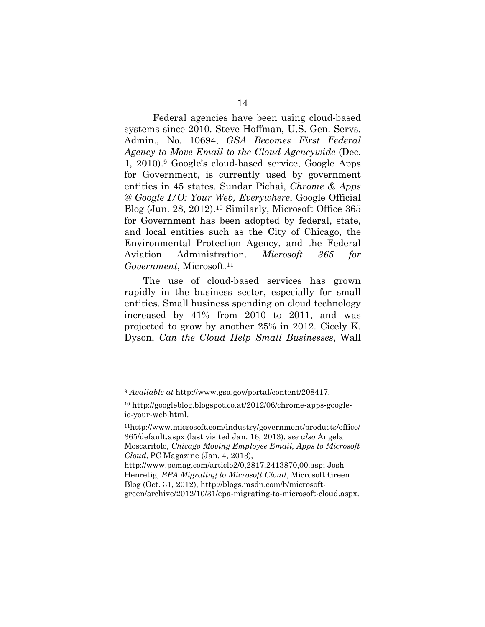Federal agencies have been using cloud-based systems since 2010. Steve Hoffman, U.S. Gen. Servs. Admin., No. 10694, *GSA Becomes First Federal Agency to Move Email to the Cloud Agencywide* (Dec. 1, 2010).9 Google's cloud-based service, Google Apps for Government, is currently used by government entities in 45 states. Sundar Pichai, *Chrome & Apps @ Google I/O: Your Web, Everywhere*, Google Official Blog (Jun. 28, 2012).10 Similarly, Microsoft Office 365 for Government has been adopted by federal, state, and local entities such as the City of Chicago, the Environmental Protection Agency, and the Federal Aviation Administration. *Microsoft 365 for Government*, Microsoft.11

The use of cloud-based services has grown rapidly in the business sector, especially for small entities. Small business spending on cloud technology increased by 41% from 2010 to 2011, and was projected to grow by another 25% in 2012. Cicely K. Dyson, *Can the Cloud Help Small Businesses*, Wall

<sup>9</sup> *Available at* http://www.gsa.gov/portal/content/208417.

<sup>10</sup> http://googleblog.blogspot.co.at/2012/06/chrome-apps-googleio-your-web.html.

<sup>11</sup>http://www.microsoft.com/industry/government/products/office/ 365/default.aspx (last visited Jan. 16, 2013). *see also* Angela Moscaritolo, *Chicago Moving Employee Email, Apps to Microsoft Cloud*, PC Magazine (Jan. 4, 2013),

http://www.pcmag.com/article2/0,2817,2413870,00.asp; Josh Henretig, *EPA Migrating to Microsoft Cloud*, Microsoft Green Blog (Oct. 31, 2012), http://blogs.msdn.com/b/microsoftgreen/archive/2012/10/31/epa-migrating-to-microsoft-cloud.aspx.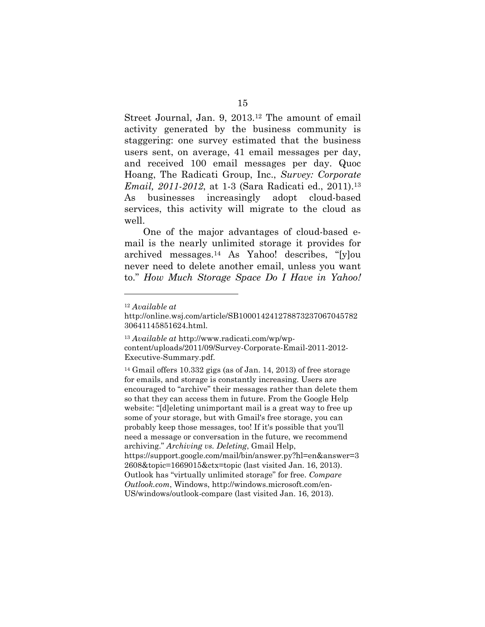Street Journal, Jan. 9, 2013.12 The amount of email activity generated by the business community is staggering: one survey estimated that the business users sent, on average, 41 email messages per day, and received 100 email messages per day. Quoc Hoang, The Radicati Group, Inc., *Survey: Corporate Email, 2011-2012*, at 1-3 (Sara Radicati ed., 2011).<sup>13</sup> As businesses increasingly adopt cloud-based services, this activity will migrate to the cloud as well.

One of the major advantages of cloud-based email is the nearly unlimited storage it provides for archived messages.14 As Yahoo! describes, "[y]ou never need to delete another email, unless you want to." *How Much Storage Space Do I Have in Yahoo!* 

 $\overline{a}$ 

14 Gmail offers 10.332 gigs (as of Jan. 14, 2013) of free storage for emails, and storage is constantly increasing. Users are encouraged to "archive" their messages rather than delete them so that they can access them in future. From the Google Help website: "[d]eleting unimportant mail is a great way to free up some of your storage, but with Gmail's free storage, you can probably keep those messages, too! If it's possible that you'll need a message or conversation in the future, we recommend archiving." *Archiving vs. Deleting*, Gmail Help, https://support.google.com/mail/bin/answer.py?hl=en&answer=3 2608&topic=1669015&ctx=topic (last visited Jan. 16, 2013). Outlook has "virtually unlimited storage" for free. *Compare Outlook.com*, Windows, http://windows.microsoft.com/en-US/windows/outlook-compare (last visited Jan. 16, 2013).

<sup>12</sup> *Available at*

http://online.wsj.com/article/SB100014241278873237067045782 30641145851624.html.

<sup>13</sup> *Available at* http://www.radicati.com/wp/wpcontent/uploads/2011/09/Survey-Corporate-Email-2011-2012- Executive-Summary.pdf.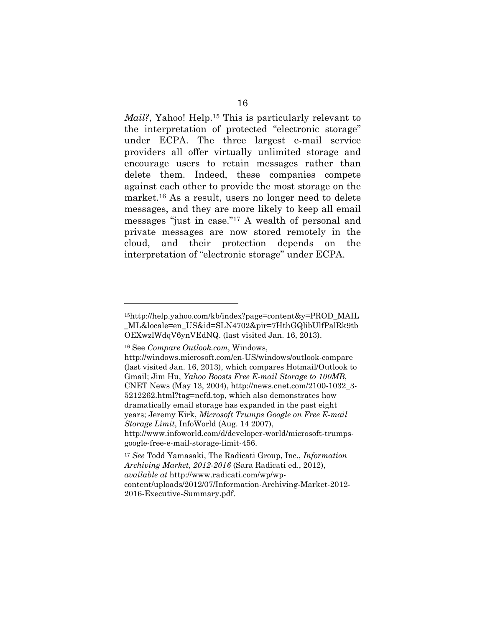*Mail?*, Yahoo! Help.<sup>15</sup> This is particularly relevant to the interpretation of protected "electronic storage" under ECPA. The three largest e-mail service providers all offer virtually unlimited storage and encourage users to retain messages rather than delete them. Indeed, these companies compete against each other to provide the most storage on the market.16 As a result, users no longer need to delete messages, and they are more likely to keep all email messages "just in case."17 A wealth of personal and private messages are now stored remotely in the cloud, and their protection depends on the interpretation of "electronic storage" under ECPA.

 $\overline{a}$ 

<sup>15</sup>http://help.yahoo.com/kb/index?page=content&y=PROD\_MAIL \_ML&locale=en\_US&id=SLN4702&pir=7HthGQlibUlfPalRk9tb OEXwzlWdqV6ynVEdNQ. (last visited Jan. 16, 2013).

<sup>16</sup> See *Compare Outlook.com*, Windows,

http://windows.microsoft.com/en-US/windows/outlook-compare (last visited Jan. 16, 2013), which compares Hotmail/Outlook to Gmail; Jim Hu, *Yahoo Boosts Free E-mail Storage to 100MB*, CNET News (May 13, 2004), http://news.cnet.com/2100-1032\_3- 5212262.html?tag=nefd.top, which also demonstrates how dramatically email storage has expanded in the past eight years; Jeremy Kirk, *Microsoft Trumps Google on Free E-mail Storage Limit*, InfoWorld (Aug. 14 2007),

http://www.infoworld.com/d/developer-world/microsoft-trumpsgoogle-free-e-mail-storage-limit-456.

<sup>17</sup> *See* Todd Yamasaki, The Radicati Group, Inc., *Information Archiving Market, 2012-2016* (Sara Radicati ed., 2012), *available at* http://www.radicati.com/wp/wpcontent/uploads/2012/07/Information-Archiving-Market-2012-

<sup>2016-</sup>Executive-Summary.pdf.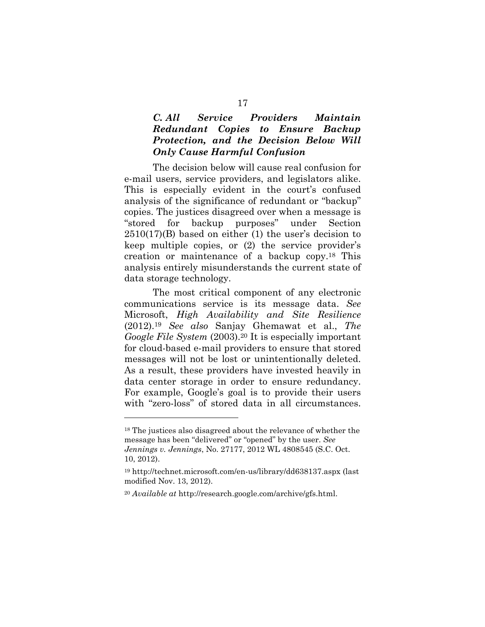## *C. All Service Providers Maintain Redundant Copies to Ensure Backup Protection, and the Decision Below Will Only Cause Harmful Confusion*

The decision below will cause real confusion for e-mail users, service providers, and legislators alike. This is especially evident in the court's confused analysis of the significance of redundant or "backup" copies. The justices disagreed over when a message is "stored for backup purposes" under Section 2510(17)(B) based on either (1) the user's decision to keep multiple copies, or (2) the service provider's creation or maintenance of a backup copy.18 This analysis entirely misunderstands the current state of data storage technology.

The most critical component of any electronic communications service is its message data. *See*  Microsoft, *High Availability and Site Resilience*  (2012).19 *See also* Sanjay Ghemawat et al., *The Google File System* (2003).20 It is especially important for cloud-based e-mail providers to ensure that stored messages will not be lost or unintentionally deleted. As a result, these providers have invested heavily in data center storage in order to ensure redundancy. For example, Google's goal is to provide their users with "zero-loss" of stored data in all circumstances.

 $\overline{a}$ 

<sup>18</sup> The justices also disagreed about the relevance of whether the message has been "delivered" or "opened" by the user. *See Jennings v. Jennings*, No. 27177, 2012 WL 4808545 (S.C. Oct.

<sup>10, 2012).</sup>

<sup>19</sup> http://technet.microsoft.com/en-us/library/dd638137.aspx (last modified Nov. 13, 2012).

<sup>20</sup> *Available at* http://research.google.com/archive/gfs.html.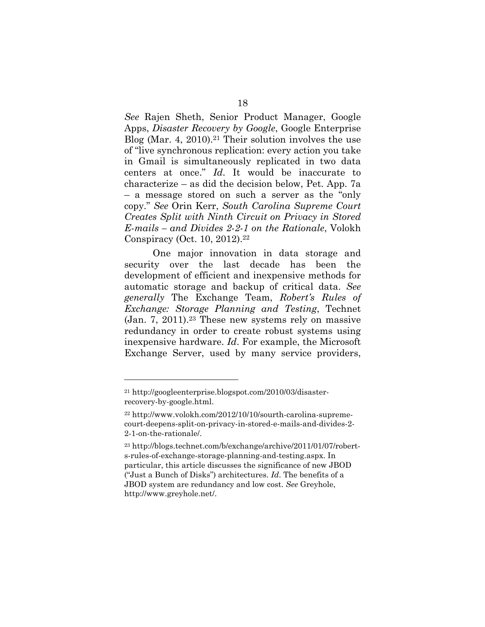*See* Rajen Sheth, Senior Product Manager, Google Apps, *Disaster Recovery by Google*, Google Enterprise Blog (Mar. 4, 2010).<sup>21</sup> Their solution involves the use of "live synchronous replication: every action you take in Gmail is simultaneously replicated in two data centers at once." *Id*. It would be inaccurate to characterize – as did the decision below, Pet. App. 7a – a message stored on such a server as the "only copy." *See* Orin Kerr, *South Carolina Supreme Court Creates Split with Ninth Circuit on Privacy in Stored E-mails – and Divides 2-2-1 on the Rationale*, Volokh Conspiracy (Oct. 10, 2012).22

One major innovation in data storage and security over the last decade has been the development of efficient and inexpensive methods for automatic storage and backup of critical data. *See generally* The Exchange Team, *Robert's Rules of Exchange: Storage Planning and Testing*, Technet (Jan. 7, 2011).23 These new systems rely on massive redundancy in order to create robust systems using inexpensive hardware. *Id*. For example, the Microsoft Exchange Server, used by many service providers,

<sup>21</sup> http://googleenterprise.blogspot.com/2010/03/disasterrecovery-by-google.html.

<sup>22</sup> http://www.volokh.com/2012/10/10/sourth-carolina-supremecourt-deepens-split-on-privacy-in-stored-e-mails-and-divides-2- 2-1-on-the-rationale/.

<sup>23</sup> http://blogs.technet.com/b/exchange/archive/2011/01/07/roberts-rules-of-exchange-storage-planning-and-testing.aspx. In particular, this article discusses the significance of new JBOD ("Just a Bunch of Disks") architectures. *Id*. The benefits of a JBOD system are redundancy and low cost. *See* Greyhole, http://www.greyhole.net/.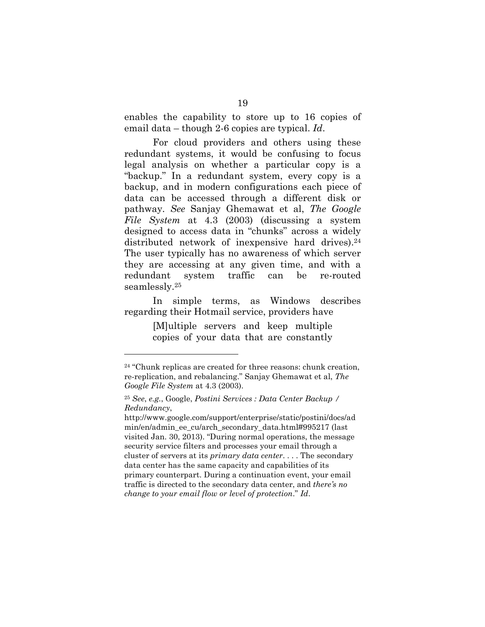enables the capability to store up to 16 copies of email data – though 2-6 copies are typical. *Id*.

For cloud providers and others using these redundant systems, it would be confusing to focus legal analysis on whether a particular copy is a "backup." In a redundant system, every copy is a backup, and in modern configurations each piece of data can be accessed through a different disk or pathway. *See* Sanjay Ghemawat et al, *The Google File System* at 4.3 (2003) (discussing a system designed to access data in "chunks" across a widely distributed network of inexpensive hard drives).<sup>24</sup> The user typically has no awareness of which server they are accessing at any given time, and with a redundant system traffic can be re-routed seamlessly.25

In simple terms, as Windows describes regarding their Hotmail service, providers have

> [M]ultiple servers and keep multiple copies of your data that are constantly

<sup>24 &</sup>quot;Chunk replicas are created for three reasons: chunk creation, re-replication, and rebalancing." Sanjay Ghemawat et al, *The Google File System* at 4.3 (2003).

<sup>25</sup> *See*, *e.g.*, Google, *Postini Services : Data Center Backup / Redundancy*,

http://www.google.com/support/enterprise/static/postini/docs/ad min/en/admin\_ee\_cu/arch\_secondary\_data.html#995217 (last visited Jan. 30, 2013). "During normal operations, the message security service filters and processes your email through a cluster of servers at its *primary data center*. . . . The secondary data center has the same capacity and capabilities of its primary counterpart. During a continuation event, your email traffic is directed to the secondary data center, and *there's no change to your email flow or level of protection*." *Id*.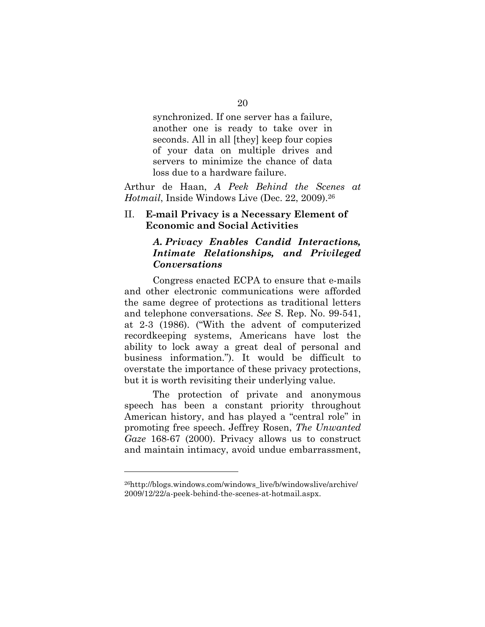synchronized. If one server has a failure, another one is ready to take over in seconds. All in all [they] keep four copies of your data on multiple drives and servers to minimize the chance of data loss due to a hardware failure.

Arthur de Haan, *A Peek Behind the Scenes at Hotmail*, Inside Windows Live (Dec. 22, 2009).26

#### II. **E-mail Privacy is a Necessary Element of Economic and Social Activities**

## *A. Privacy Enables Candid Interactions, Intimate Relationships, and Privileged Conversations*

Congress enacted ECPA to ensure that e-mails and other electronic communications were afforded the same degree of protections as traditional letters and telephone conversations. *See* S. Rep. No. 99-541, at 2-3 (1986). ("With the advent of computerized recordkeeping systems, Americans have lost the ability to lock away a great deal of personal and business information."). It would be difficult to overstate the importance of these privacy protections, but it is worth revisiting their underlying value.

The protection of private and anonymous speech has been a constant priority throughout American history, and has played a "central role" in promoting free speech. Jeffrey Rosen, *The Unwanted Gaze* 168-67 (2000). Privacy allows us to construct and maintain intimacy, avoid undue embarrassment,

<sup>26</sup>http://blogs.windows.com/windows\_live/b/windowslive/archive/ 2009/12/22/a-peek-behind-the-scenes-at-hotmail.aspx.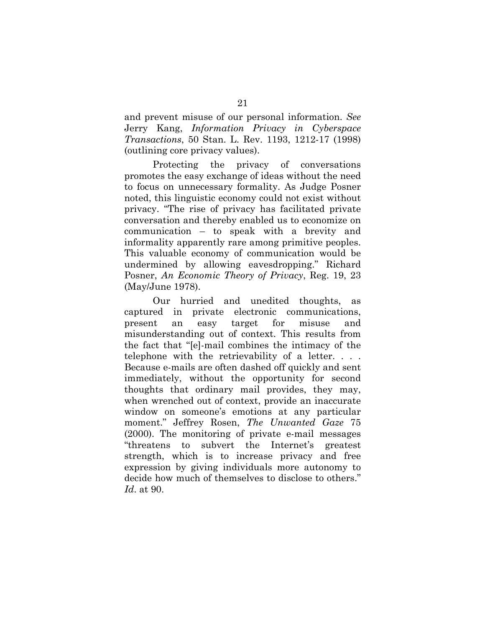and prevent misuse of our personal information. *See*  Jerry Kang, *Information Privacy in Cyberspace Transactions*, 50 Stan. L. Rev. 1193, 1212-17 (1998) (outlining core privacy values).

Protecting the privacy of conversations promotes the easy exchange of ideas without the need to focus on unnecessary formality. As Judge Posner noted, this linguistic economy could not exist without privacy. "The rise of privacy has facilitated private conversation and thereby enabled us to economize on communication – to speak with a brevity and informality apparently rare among primitive peoples. This valuable economy of communication would be undermined by allowing eavesdropping." Richard Posner, *An Economic Theory of Privacy*, Reg. 19, 23 (May/June 1978).

Our hurried and unedited thoughts, as captured in private electronic communications, present an easy target for misuse and misunderstanding out of context. This results from the fact that "[e]-mail combines the intimacy of the telephone with the retrievability of a letter. . . . Because e-mails are often dashed off quickly and sent immediately, without the opportunity for second thoughts that ordinary mail provides, they may, when wrenched out of context, provide an inaccurate window on someone's emotions at any particular moment." Jeffrey Rosen, *The Unwanted Gaze* 75 (2000). The monitoring of private e-mail messages "threatens to subvert the Internet's greatest strength, which is to increase privacy and free expression by giving individuals more autonomy to decide how much of themselves to disclose to others." *Id*. at 90.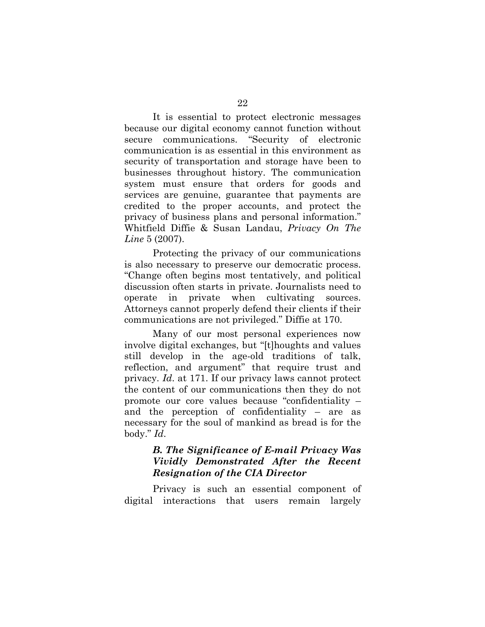It is essential to protect electronic messages because our digital economy cannot function without secure communications. "Security of electronic communication is as essential in this environment as security of transportation and storage have been to businesses throughout history. The communication system must ensure that orders for goods and services are genuine, guarantee that payments are credited to the proper accounts, and protect the privacy of business plans and personal information." Whitfield Diffie & Susan Landau, *Privacy On The Line* 5 (2007).

Protecting the privacy of our communications is also necessary to preserve our democratic process. "Change often begins most tentatively, and political discussion often starts in private. Journalists need to operate in private when cultivating sources. Attorneys cannot properly defend their clients if their communications are not privileged." Diffie at 170.

Many of our most personal experiences now involve digital exchanges, but "[t]houghts and values still develop in the age-old traditions of talk, reflection, and argument" that require trust and privacy. *Id*. at 171. If our privacy laws cannot protect the content of our communications then they do not promote our core values because "confidentiality – and the perception of confidentiality – are as necessary for the soul of mankind as bread is for the body." *Id*.

## *B. The Significance of E-mail Privacy Was Vividly Demonstrated After the Recent Resignation of the CIA Director*

Privacy is such an essential component of digital interactions that users remain largely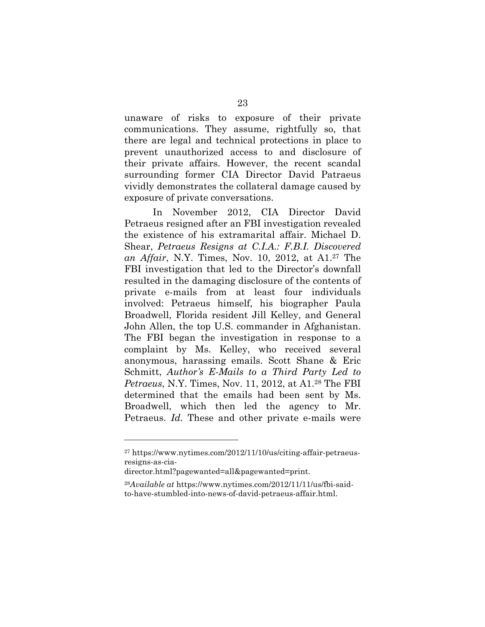unaware of risks to exposure of their private communications. They assume, rightfully so, that there are legal and technical protections in place to prevent unauthorized access to and disclosure of their private affairs. However, the recent scandal surrounding former CIA Director David Patraeus vividly demonstrates the collateral damage caused by exposure of private conversations.

In November 2012, CIA Director David Petraeus resigned after an FBI investigation revealed the existence of his extramarital affair. Michael D. Shear, *Petraeus Resigns at C.I.A.: F.B.I. Discovered an Affair*, N.Y. Times, Nov. 10, 2012, at A1.27 The FBI investigation that led to the Director's downfall resulted in the damaging disclosure of the contents of private e-mails from at least four individuals involved: Petraeus himself, his biographer Paula Broadwell, Florida resident Jill Kelley, and General John Allen, the top U.S. commander in Afghanistan. The FBI began the investigation in response to a complaint by Ms. Kelley, who received several anonymous, harassing emails. Scott Shane & Eric Schmitt, *Author's E-Mails to a Third Party Led to Petraeus*, N.Y. Times, Nov. 11, 2012, at A1.28 The FBI determined that the emails had been sent by Ms. Broadwell, which then led the agency to Mr. Petraeus. *Id.* These and other private e-mails were

<sup>27</sup> https://www.nytimes.com/2012/11/10/us/citing-affair-petraeusresigns-as-cia-

director.html?pagewanted=all&pagewanted=print.

<sup>28</sup>*Available at* https://www.nytimes.com/2012/11/11/us/fbi-saidto-have-stumbled-into-news-of-david-petraeus-affair.html.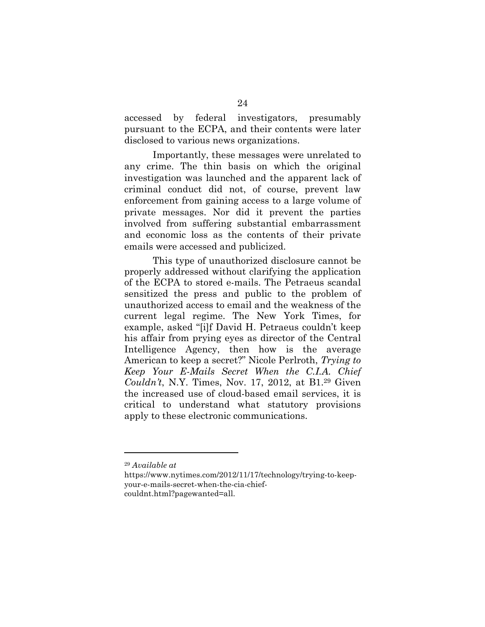accessed by federal investigators, presumably pursuant to the ECPA, and their contents were later disclosed to various news organizations.

Importantly, these messages were unrelated to any crime. The thin basis on which the original investigation was launched and the apparent lack of criminal conduct did not, of course, prevent law enforcement from gaining access to a large volume of private messages. Nor did it prevent the parties involved from suffering substantial embarrassment and economic loss as the contents of their private emails were accessed and publicized.

This type of unauthorized disclosure cannot be properly addressed without clarifying the application of the ECPA to stored e-mails. The Petraeus scandal sensitized the press and public to the problem of unauthorized access to email and the weakness of the current legal regime. The New York Times, for example, asked "[i]f David H. Petraeus couldn't keep his affair from prying eyes as director of the Central Intelligence Agency, then how is the average American to keep a secret?" Nicole Perlroth, *Trying to Keep Your E-Mails Secret When the C.I.A. Chief Couldn't*, N.Y. Times, Nov. 17, 2012, at B1.29 Given the increased use of cloud-based email services, it is critical to understand what statutory provisions apply to these electronic communications.

<sup>29</sup> *Available at* 

https://www.nytimes.com/2012/11/17/technology/trying-to-keepyour-e-mails-secret-when-the-cia-chiefcouldnt.html?pagewanted=all.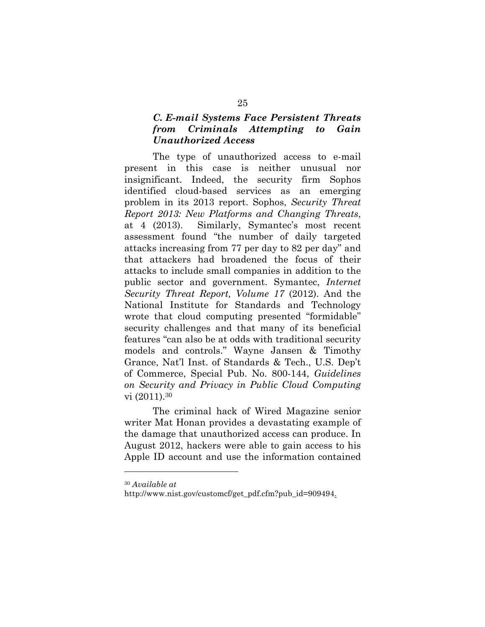## *C. E-mail Systems Face Persistent Threats from Criminals Attempting to Gain Unauthorized Access*

The type of unauthorized access to e-mail present in this case is neither unusual nor insignificant. Indeed, the security firm Sophos identified cloud-based services as an emerging problem in its 2013 report. Sophos, *Security Threat Report 2013: New Platforms and Changing Threats*, at 4 (2013). Similarly, Symantec's most recent assessment found "the number of daily targeted attacks increasing from 77 per day to 82 per day" and that attackers had broadened the focus of their attacks to include small companies in addition to the public sector and government. Symantec, *Internet Security Threat Report, Volume 17* (2012). And the National Institute for Standards and Technology wrote that cloud computing presented "formidable" security challenges and that many of its beneficial features "can also be at odds with traditional security models and controls." Wayne Jansen & Timothy Grance, Nat'l Inst. of Standards & Tech., U.S. Dep't of Commerce, Special Pub. No. 800-144, *Guidelines on Security and Privacy in Public Cloud Computing* vi (2011).30

The criminal hack of Wired Magazine senior writer Mat Honan provides a devastating example of the damage that unauthorized access can produce. In August 2012, hackers were able to gain access to his Apple ID account and use the information contained

<sup>30</sup> *Available at* 

http://www.nist.gov/customcf/get\_pdf.cfm?pub\_id=909494.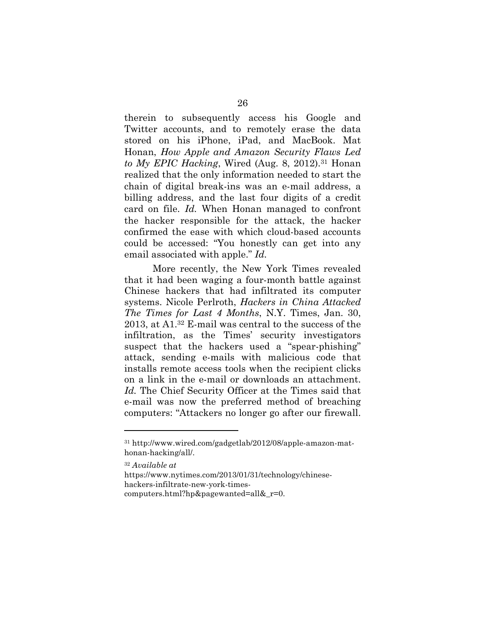therein to subsequently access his Google and Twitter accounts, and to remotely erase the data stored on his iPhone, iPad, and MacBook. Mat Honan, *How Apple and Amazon Security Flaws Led to My EPIC Hacking*, Wired (Aug. 8, 2012).31 Honan realized that the only information needed to start the chain of digital break-ins was an e-mail address, a billing address, and the last four digits of a credit card on file. *Id.* When Honan managed to confront the hacker responsible for the attack, the hacker confirmed the ease with which cloud-based accounts could be accessed: "You honestly can get into any email associated with apple." *Id.*

More recently, the New York Times revealed that it had been waging a four-month battle against Chinese hackers that had infiltrated its computer systems. Nicole Perlroth, *Hackers in China Attacked The Times for Last 4 Months*, N.Y. Times, Jan. 30, 2013, at A1.32 E-mail was central to the success of the infiltration, as the Times' security investigators suspect that the hackers used a "spear-phishing" attack, sending e-mails with malicious code that installs remote access tools when the recipient clicks on a link in the e-mail or downloads an attachment. *Id.* The Chief Security Officer at the Times said that e-mail was now the preferred method of breaching computers: "Attackers no longer go after our firewall.

<sup>31</sup> http://www.wired.com/gadgetlab/2012/08/apple-amazon-mathonan-hacking/all/.

<sup>32</sup> *Available at* 

https://www.nytimes.com/2013/01/31/technology/chinesehackers-infiltrate-new-york-times-

computers.html?hp&pagewanted=all& r=0.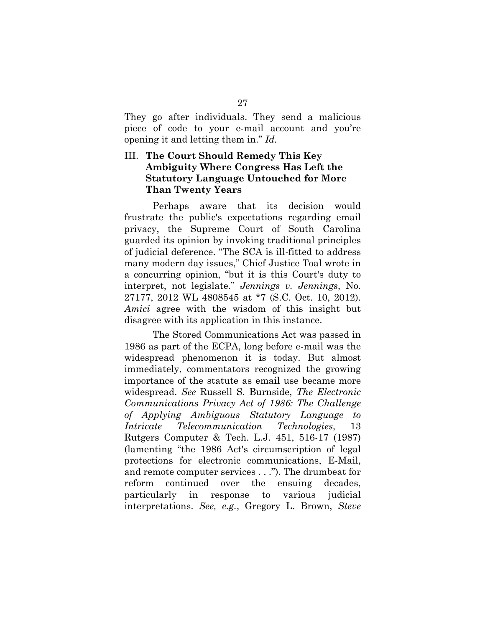They go after individuals. They send a malicious piece of code to your e-mail account and you're opening it and letting them in." *Id.*

## III. **The Court Should Remedy This Key Ambiguity Where Congress Has Left the Statutory Language Untouched for More Than Twenty Years**

Perhaps aware that its decision would frustrate the public's expectations regarding email privacy, the Supreme Court of South Carolina guarded its opinion by invoking traditional principles of judicial deference. "The SCA is ill-fitted to address many modern day issues," Chief Justice Toal wrote in a concurring opinion, "but it is this Court's duty to interpret, not legislate." *Jennings v. Jennings*, No. 27177, 2012 WL 4808545 at \*7 (S.C. Oct. 10, 2012). *Amici* agree with the wisdom of this insight but disagree with its application in this instance.

The Stored Communications Act was passed in 1986 as part of the ECPA, long before e-mail was the widespread phenomenon it is today. But almost immediately, commentators recognized the growing importance of the statute as email use became more widespread. *See* Russell S. Burnside, *The Electronic Communications Privacy Act of 1986: The Challenge of Applying Ambiguous Statutory Language to Intricate Telecommunication Technologies*, 13 Rutgers Computer & Tech. L.J. 451, 516-17 (1987) (lamenting "the 1986 Act's circumscription of legal protections for electronic communications, E-Mail, and remote computer services . . ."). The drumbeat for reform continued over the ensuing decades, particularly in response to various judicial interpretations. *See, e.g.*, Gregory L. Brown, *Steve*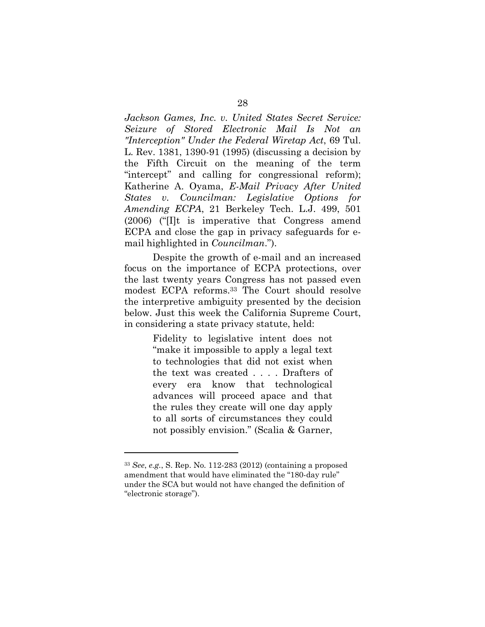*Jackson Games, Inc. v. United States Secret Service: Seizure of Stored Electronic Mail Is Not an "Interception" Under the Federal Wiretap Act*, 69 Tul. L. Rev. 1381, 1390-91 (1995) (discussing a decision by the Fifth Circuit on the meaning of the term "intercept" and calling for congressional reform); Katherine A. Oyama, *E-Mail Privacy After United States v. Councilman: Legislative Options for Amending ECPA*, 21 Berkeley Tech. L.J. 499, 501 (2006) ("[I]t is imperative that Congress amend ECPA and close the gap in privacy safeguards for email highlighted in *Councilman*.").

Despite the growth of e-mail and an increased focus on the importance of ECPA protections, over the last twenty years Congress has not passed even modest ECPA reforms.33 The Court should resolve the interpretive ambiguity presented by the decision below. Just this week the California Supreme Court, in considering a state privacy statute, held:

> Fidelity to legislative intent does not "make it impossible to apply a legal text to technologies that did not exist when the text was created . . . . Drafters of every era know that technological advances will proceed apace and that the rules they create will one day apply to all sorts of circumstances they could not possibly envision." (Scalia & Garner,

<sup>33</sup> *See*, *e.g.*, S. Rep. No. 112-283 (2012) (containing a proposed amendment that would have eliminated the "180-day rule" under the SCA but would not have changed the definition of "electronic storage").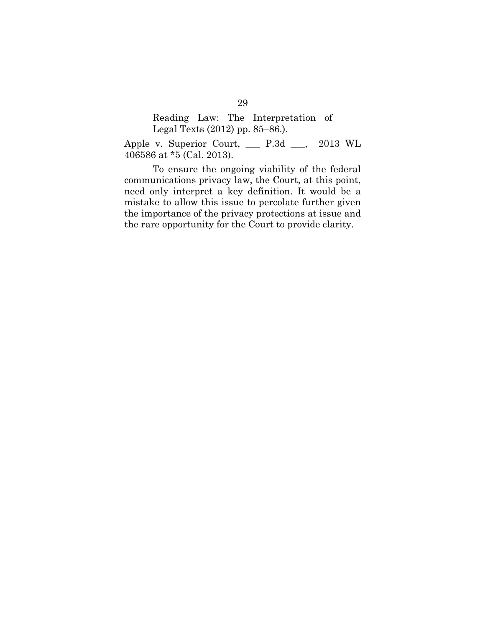Reading Law: The Interpretation of Legal Texts (2012) pp. 85–86.).

Apple v. Superior Court, \_\_\_ P.3d \_\_\_, 2013 WL 406586 at \*5 (Cal. 2013).

To ensure the ongoing viability of the federal communications privacy law, the Court, at this point, need only interpret a key definition. It would be a mistake to allow this issue to percolate further given the importance of the privacy protections at issue and the rare opportunity for the Court to provide clarity.